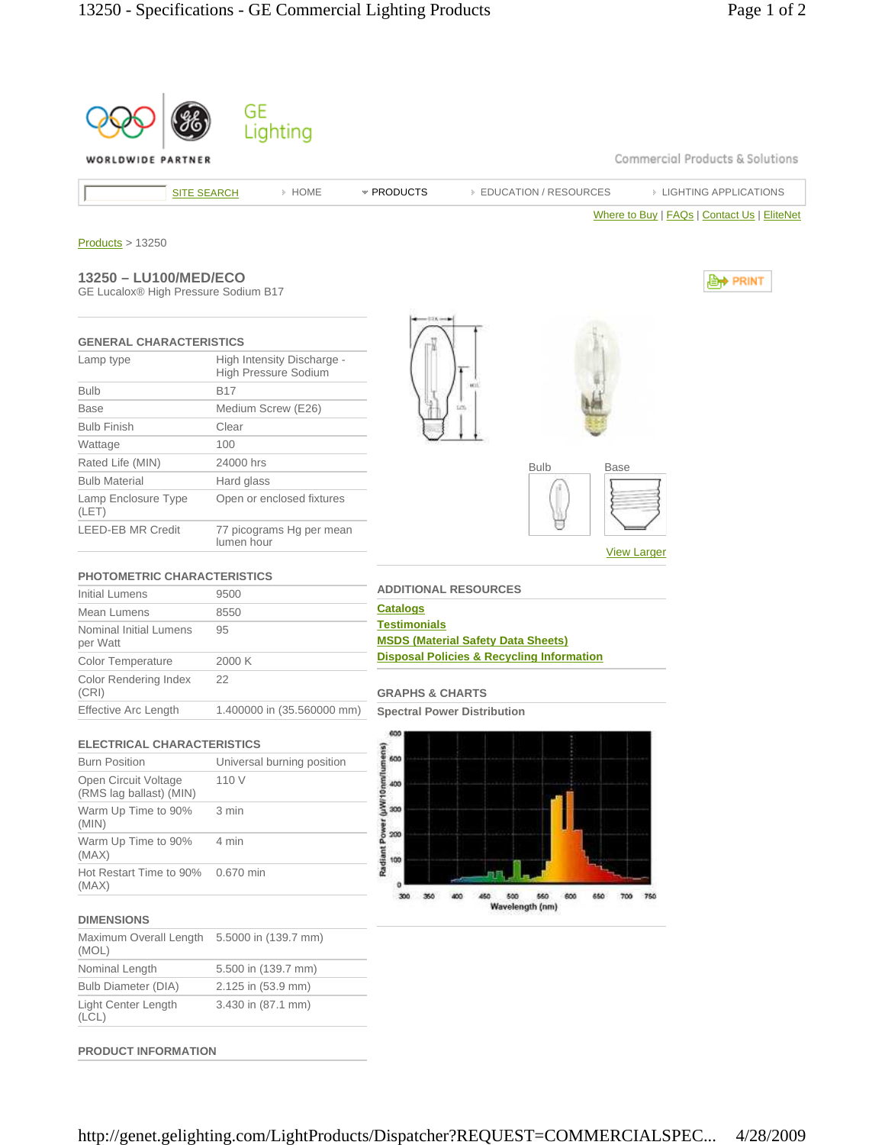

Effective Arc Length 1.400000 in (35.560000 mm)

## **ELECTRICAL CHARACTERISTICS**

| <b>Burn Position</b>                            | Universal burning position |
|-------------------------------------------------|----------------------------|
| Open Circuit Voltage<br>(RMS lag ballast) (MIN) | 110 V                      |
| Warm Up Time to 90%<br>(MIN)                    | 3 min                      |
| Warm Up Time to 90%<br>(MAX)                    | 4 min                      |
| Hot Restart Time to 90%<br>(MAX)                | 0.670 min                  |

**Spectral Power Distribution** 



## **DIMENSIONS**

| Maximum Overall Length<br>(MOL) | 5.5000 in (139.7 mm) |
|---------------------------------|----------------------|
| Nominal Length                  | 5.500 in (139.7 mm)  |
| <b>Bulb Diameter (DIA)</b>      | 2.125 in (53.9 mm)   |
| Light Center Length<br>(LCL)    | 3.430 in (87.1 mm)   |

**PRODUCT INFORMATION**